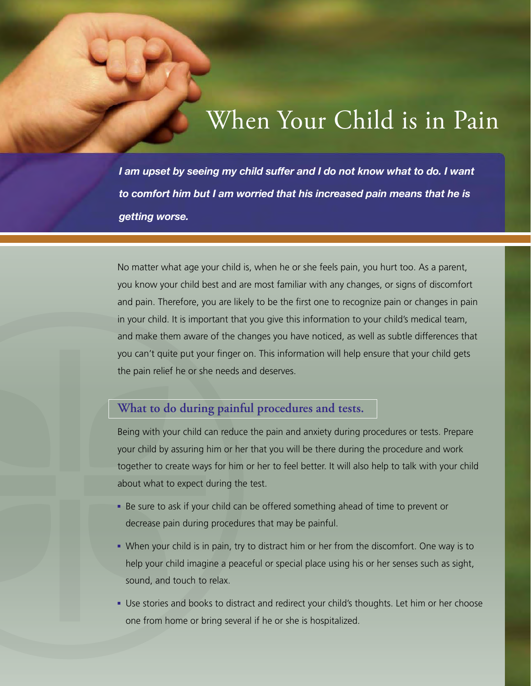## When Your Child is in Pain

*I am upset by seeing my child suffer and I do not know what to do. I want to comfort him but I am worried that his increased pain means that he is getting worse.*

No matter what age your child is, when he or she feels pain, you hurt too. As a parent, you know your child best and are most familiar with any changes, or signs of discomfort and pain. Therefore, you are likely to be the first one to recognize pain or changes in pain in your child. It is important that you give this information to your child's medical team, and make them aware of the changes you have noticed, as well as subtle differences that you can't quite put your finger on. This information will help ensure that your child gets the pain relief he or she needs and deserves.

## **What to do during painful procedures and tests.**

Being with your child can reduce the pain and anxiety during procedures or tests. Prepare your child by assuring him or her that you will be there during the procedure and work together to create ways for him or her to feel better. It will also help to talk with your child about what to expect during the test.

- Be sure to ask if your child can be offered something ahead of time to prevent or decrease pain during procedures that may be painful.
- When your child is in pain, try to distract him or her from the discomfort. One way is to help your child imagine a peaceful or special place using his or her senses such as sight, sound, and touch to relax.
- Use stories and books to distract and redirect your child's thoughts. Let him or her choose one from home or bring several if he or she is hospitalized.